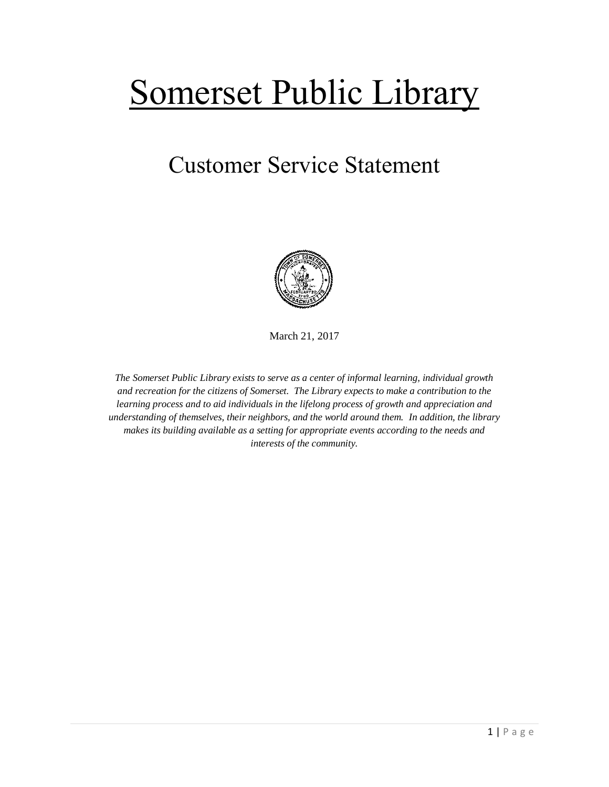## Somerset Public Library

## Customer Service Statement



March 21, 2017

*The Somerset Public Library exists to serve as a center of informal learning, individual growth and recreation for the citizens of Somerset. The Library expects to make a contribution to the learning process and to aid individuals in the lifelong process of growth and appreciation and understanding of themselves, their neighbors, and the world around them. In addition, the library makes its building available as a setting for appropriate events according to the needs and interests of the community.*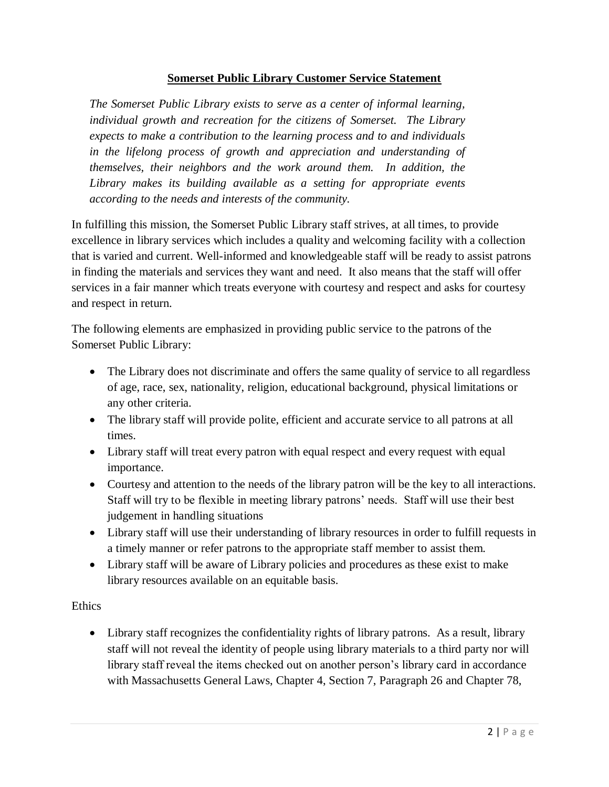## **Somerset Public Library Customer Service Statement**

*The Somerset Public Library exists to serve as a center of informal learning, individual growth and recreation for the citizens of Somerset. The Library expects to make a contribution to the learning process and to and individuals in the lifelong process of growth and appreciation and understanding of themselves, their neighbors and the work around them. In addition, the Library makes its building available as a setting for appropriate events according to the needs and interests of the community.*

In fulfilling this mission, the Somerset Public Library staff strives, at all times, to provide excellence in library services which includes a quality and welcoming facility with a collection that is varied and current. Well-informed and knowledgeable staff will be ready to assist patrons in finding the materials and services they want and need. It also means that the staff will offer services in a fair manner which treats everyone with courtesy and respect and asks for courtesy and respect in return.

The following elements are emphasized in providing public service to the patrons of the Somerset Public Library:

- The Library does not discriminate and offers the same quality of service to all regardless of age, race, sex, nationality, religion, educational background, physical limitations or any other criteria.
- The library staff will provide polite, efficient and accurate service to all patrons at all times.
- Library staff will treat every patron with equal respect and every request with equal importance.
- Courtesy and attention to the needs of the library patron will be the key to all interactions. Staff will try to be flexible in meeting library patrons' needs. Staff will use their best judgement in handling situations
- Library staff will use their understanding of library resources in order to fulfill requests in a timely manner or refer patrons to the appropriate staff member to assist them.
- Library staff will be aware of Library policies and procedures as these exist to make library resources available on an equitable basis.

## **Ethics**

 Library staff recognizes the confidentiality rights of library patrons. As a result, library staff will not reveal the identity of people using library materials to a third party nor will library staff reveal the items checked out on another person's library card in accordance with Massachusetts General Laws, Chapter 4, Section 7, Paragraph 26 and Chapter 78,